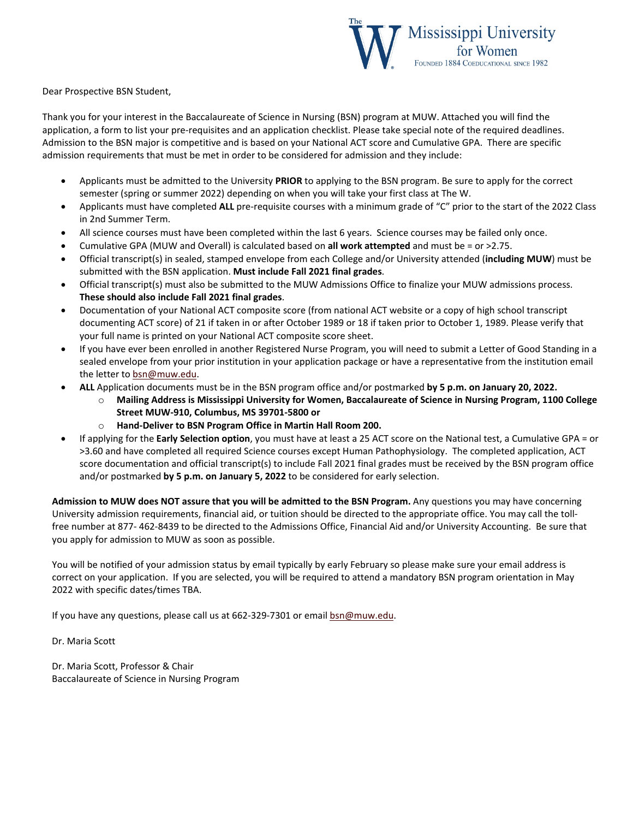

Dear Prospective BSN Student,

Thank you for your interest in the Baccalaureate of Science in Nursing (BSN) program at MUW. Attached you will find the application, a form to list your pre-requisites and an application checklist. Please take special note of the required deadlines. Admission to the BSN major is competitive and is based on your National ACT score and Cumulative GPA. There are specific admission requirements that must be met in order to be considered for admission and they include:

- Applicants must be admitted to the University **PRIOR** to applying to the BSN program. Be sure to apply for the correct semester (spring or summer 2022) depending on when you will take your first class at The W.
- Applicants must have completed **ALL** pre-requisite courses with a minimum grade of "C" prior to the start of the 2022 Class in 2nd Summer Term.
- All science courses must have been completed within the last 6 years. Science courses may be failed only once.
- Cumulative GPA (MUW and Overall) is calculated based on **all work attempted** and must be = or >2.75.
- Official transcript(s) in sealed, stamped envelope from each College and/or University attended (**including MUW**) must be submitted with the BSN application. **Must include Fall 2021 final grades**.
- Official transcript(s) must also be submitted to the MUW Admissions Office to finalize your MUW admissions process. **These should also include Fall 2021 final grades**.
- Documentation of your National ACT composite score (from national ACT website or a copy of high school transcript documenting ACT score) of 21 if taken in or after October 1989 or 18 if taken prior to October 1, 1989. Please verify that your full name is printed on your National ACT composite score sheet.
- If you have ever been enrolled in another Registered Nurse Program, you will need to submit a Letter of Good Standing in a sealed envelope from your prior institution in your application package or have a representative from the institution email the letter t[o bsn@muw.edu.](about:blank)
- **ALL** Application documents must be in the BSN program office and/or postmarked **by 5 p.m. on January 20, 2022.** 
	- o **Mailing Address is Mississippi University for Women, Baccalaureate of Science in Nursing Program, 1100 College Street MUW-910, Columbus, MS 39701-5800 or**
	- o **Hand-Deliver to BSN Program Office in Martin Hall Room 200.**
- If applying for the **Early Selection option**, you must have at least a 25 ACT score on the National test, a Cumulative GPA = or >3.60 and have completed all required Science courses except Human Pathophysiology. The completed application, ACT score documentation and official transcript(s) to include Fall 2021 final grades must be received by the BSN program office and/or postmarked **by 5 p.m. on January 5, 2022** to be considered for early selection.

**Admission to MUW does NOT assure that you will be admitted to the BSN Program.** Any questions you may have concerning University admission requirements, financial aid, or tuition should be directed to the appropriate office. You may call the tollfree number at 877- 462-8439 to be directed to the Admissions Office, Financial Aid and/or University Accounting. Be sure that you apply for admission to MUW as soon as possible.

You will be notified of your admission status by email typically by early February so please make sure your email address is correct on your application. If you are selected, you will be required to attend a mandatory BSN program orientation in May 2022 with specific dates/times TBA.

If you have any questions, please call us at 662-329-7301 or email [bsn@muw.edu.](about:blank)

Dr. Maria Scott

Dr. Maria Scott, Professor & Chair Baccalaureate of Science in Nursing Program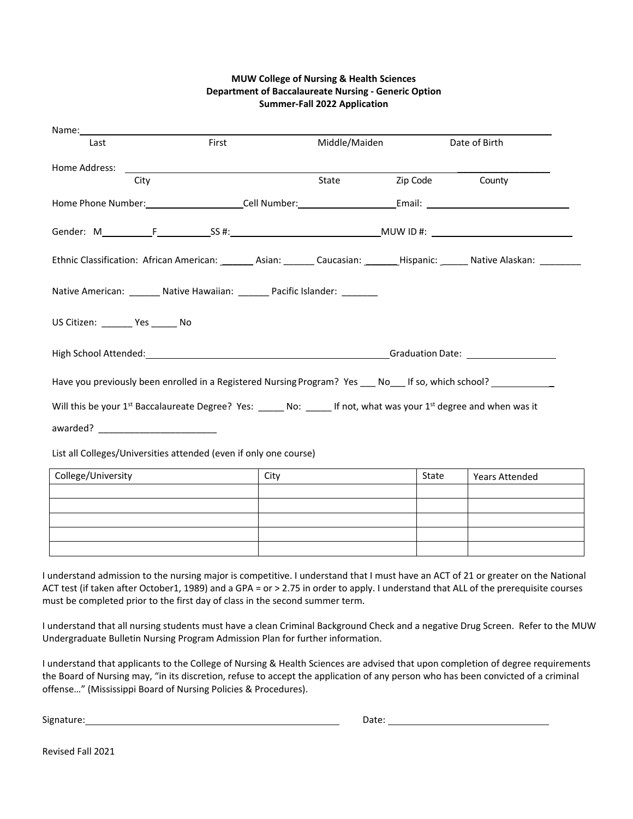## **MUW College of Nursing & Health Sciences Department of Baccalaureate Nursing - Generic Option Summer-Fall 2022 Application**

| Name:                                                                                                                                                                                                                          |       |               |          |                       |  |
|--------------------------------------------------------------------------------------------------------------------------------------------------------------------------------------------------------------------------------|-------|---------------|----------|-----------------------|--|
| Last                                                                                                                                                                                                                           | First | Middle/Maiden |          | Date of Birth         |  |
| Home Address:                                                                                                                                                                                                                  |       |               |          |                       |  |
| City                                                                                                                                                                                                                           |       | State         | Zip Code | County                |  |
|                                                                                                                                                                                                                                |       |               |          |                       |  |
|                                                                                                                                                                                                                                |       |               |          |                       |  |
| Ethnic Classification: African American: ________ Asian: _______ Caucasian: _______ Hispanic: _______ Native Alaskan: _______                                                                                                  |       |               |          |                       |  |
| Native American: _______ Native Hawaiian: ______ Pacific Islander: _______                                                                                                                                                     |       |               |          |                       |  |
| US Citizen: Ves No                                                                                                                                                                                                             |       |               |          |                       |  |
| High School Attended: 1996 and 2009 and 2009 and 2009 and 2009 and 2009 and 2009 and 2009 and 2009 and 2009 and 2009 and 2009 and 2009 and 2009 and 2009 and 2009 and 2009 and 2009 and 2009 and 2009 and 2009 and 2009 and 20 |       |               |          |                       |  |
| Have you previously been enrolled in a Registered Nursing Program? Yes ___ No___ If so, which school? __________                                                                                                               |       |               |          |                       |  |
| Will this be your 1 <sup>st</sup> Baccalaureate Degree? Yes: _____ No: _____ If not, what was your 1 <sup>st</sup> degree and when was it                                                                                      |       |               |          |                       |  |
|                                                                                                                                                                                                                                |       |               |          |                       |  |
| List all Colleges/Universities attended (even if only one course)                                                                                                                                                              |       |               |          |                       |  |
| College/University                                                                                                                                                                                                             | City  |               | State    | <b>Years Attended</b> |  |
|                                                                                                                                                                                                                                |       |               |          |                       |  |
|                                                                                                                                                                                                                                |       |               |          |                       |  |
|                                                                                                                                                                                                                                |       |               |          |                       |  |

I understand admission to the nursing major is competitive. I understand that I must have an ACT of 21 or greater on the National ACT test (if taken after October1, 1989) and a GPA = or > 2.75 in order to apply. I understand that ALL of the prerequisite courses must be completed prior to the first day of class in the second summer term.

I understand that all nursing students must have a clean Criminal Background Check and a negative Drug Screen. Refer to the MUW Undergraduate Bulletin Nursing Program Admission Plan for further information.

I understand that applicants to the College of Nursing & Health Sciences are advised that upon completion of degree requirements the Board of Nursing may, "in its discretion, refuse to accept the application of any person who has been convicted of a criminal offense…" (Mississippi Board of Nursing Policies & Procedures).

Signature: Date: Designature: Date: Date: Date: Date: Date: Date: Date: Date: Date: Date: Date: Date: Date: Date: Date: Date: Date: Date: Date: Date: Date: Date: Date: Date: Date: Date: Date: Date: Date: Date: Date: Date:

Revised Fall 2021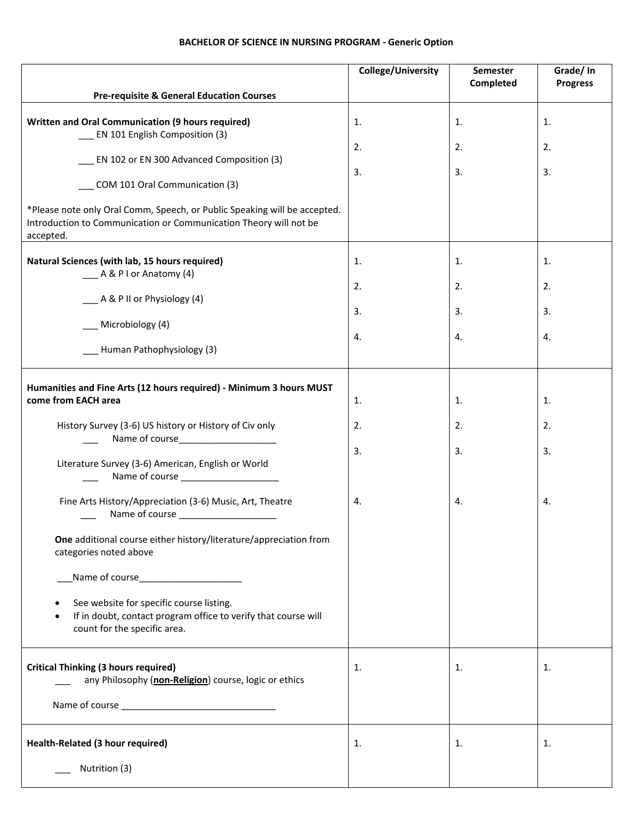## **BACHELOR OF SCIENCE IN NURSING PROGRAM - Generic Option**

|                                                                                                                                                             | College/University | Semester<br>Completed | Grade/In<br><b>Progress</b> |
|-------------------------------------------------------------------------------------------------------------------------------------------------------------|--------------------|-----------------------|-----------------------------|
| <b>Pre-requisite &amp; General Education Courses</b>                                                                                                        |                    |                       |                             |
| Written and Oral Communication (9 hours required)<br>__ EN 101 English Composition (3)                                                                      | 1.                 | 1.                    | 1.                          |
|                                                                                                                                                             | 2.                 | 2.                    | 2.                          |
| EN 102 or EN 300 Advanced Composition (3)<br>COM 101 Oral Communication (3)                                                                                 | 3.                 | 3.                    | 3.                          |
| *Please note only Oral Comm, Speech, or Public Speaking will be accepted.<br>Introduction to Communication or Communication Theory will not be<br>accepted. |                    |                       |                             |
| Natural Sciences (with lab, 15 hours required)<br>__ A & P I or Anatomy (4)                                                                                 | 1.                 | 1.                    | 1.                          |
|                                                                                                                                                             | 2.                 | 2.                    | 2.                          |
| __ A & P II or Physiology (4)                                                                                                                               | 3.                 | 3.                    | 3.                          |
| Microbiology (4)                                                                                                                                            | 4.                 | 4.                    | 4.                          |
| Human Pathophysiology (3)                                                                                                                                   |                    |                       |                             |
| Humanities and Fine Arts (12 hours required) - Minimum 3 hours MUST                                                                                         |                    |                       |                             |
| come from EACH area                                                                                                                                         | 1.                 | 1.                    | 1.                          |
| History Survey (3-6) US history or History of Civ only<br>Name of course______________________                                                              | 2.                 | 2.                    | 2.                          |
| Literature Survey (3-6) American, English or World<br>Name of course ___________________                                                                    | 3.                 | 3.                    | 3.                          |
| Fine Arts History/Appreciation (3-6) Music, Art, Theatre                                                                                                    | 4.                 | 4.                    | 4.                          |
| One additional course either history/literature/appreciation from<br>categories noted above                                                                 |                    |                       |                             |
|                                                                                                                                                             |                    |                       |                             |
| See website for specific course listing.<br>If in doubt, contact program office to verify that course will<br>$\bullet$<br>count for the specific area.     |                    |                       |                             |
| <b>Critical Thinking (3 hours required)</b><br>any Philosophy (non-Religion) course, logic or ethics                                                        | 1.                 | 1.                    | 1.                          |
|                                                                                                                                                             |                    |                       |                             |
| Health-Related (3 hour required)                                                                                                                            | 1.                 | 1.                    | 1.                          |
| Nutrition (3)                                                                                                                                               |                    |                       |                             |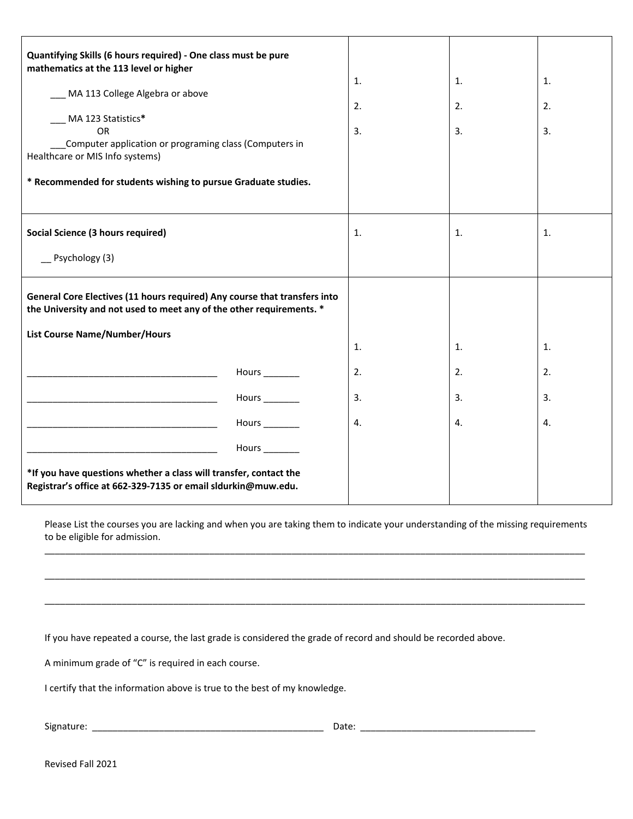| Quantifying Skills (6 hours required) - One class must be pure<br>mathematics at the 113 level or higher                                          |                |    |    |    |
|---------------------------------------------------------------------------------------------------------------------------------------------------|----------------|----|----|----|
|                                                                                                                                                   |                | 1. | 1. | 1. |
| MA 113 College Algebra or above                                                                                                                   |                | 2. | 2. | 2. |
| MA 123 Statistics*<br><b>OR</b>                                                                                                                   |                | 3. | 3. | 3. |
| Computer application or programing class (Computers in<br>Healthcare or MIS Info systems)                                                         |                |    |    |    |
| * Recommended for students wishing to pursue Graduate studies.                                                                                    |                |    |    |    |
|                                                                                                                                                   |                |    |    |    |
| Social Science (3 hours required)                                                                                                                 |                | 1. | 1. | 1. |
| $-$ Psychology (3)                                                                                                                                |                |    |    |    |
| General Core Electives (11 hours required) Any course that transfers into<br>the University and not used to meet any of the other requirements. * |                |    |    |    |
| <b>List Course Name/Number/Hours</b>                                                                                                              |                |    |    |    |
|                                                                                                                                                   |                | 1. | 1. | 1. |
|                                                                                                                                                   | Hours ________ | 2. | 2. | 2. |
|                                                                                                                                                   | Hours _______  | 3. | 3. | 3. |
| <u> 1980 - Johann John Stone, mars eta biztanleria (h. 1980).</u>                                                                                 | Hours ________ | 4. | 4. | 4. |
| <u> 1989 - Johann Barbara, martxa alemaniar argumento estas estas estas en la contrada de la contrada de la con</u>                               | Hours ________ |    |    |    |
| *If you have questions whether a class will transfer, contact the<br>Registrar's office at 662-329-7135 or email sldurkin@muw.edu.                |                |    |    |    |

Please List the courses you are lacking and when you are taking them to indicate your understanding of the missing requirements to be eligible for admission. \_\_\_\_\_\_\_\_\_\_\_\_\_\_\_\_\_\_\_\_\_\_\_\_\_\_\_\_\_\_\_\_\_\_\_\_\_\_\_\_\_\_\_\_\_\_\_\_\_\_\_\_\_\_\_\_\_\_\_\_\_\_\_\_\_\_\_\_\_\_\_\_\_\_\_\_\_\_\_\_\_\_\_\_\_\_\_\_\_\_\_\_\_\_\_\_\_\_\_\_\_\_\_\_\_

\_\_\_\_\_\_\_\_\_\_\_\_\_\_\_\_\_\_\_\_\_\_\_\_\_\_\_\_\_\_\_\_\_\_\_\_\_\_\_\_\_\_\_\_\_\_\_\_\_\_\_\_\_\_\_\_\_\_\_\_\_\_\_\_\_\_\_\_\_\_\_\_\_\_\_\_\_\_\_\_\_\_\_\_\_\_\_\_\_\_\_\_\_\_\_\_\_\_\_\_\_\_\_\_\_

\_\_\_\_\_\_\_\_\_\_\_\_\_\_\_\_\_\_\_\_\_\_\_\_\_\_\_\_\_\_\_\_\_\_\_\_\_\_\_\_\_\_\_\_\_\_\_\_\_\_\_\_\_\_\_\_\_\_\_\_\_\_\_\_\_\_\_\_\_\_\_\_\_\_\_\_\_\_\_\_\_\_\_\_\_\_\_\_\_\_\_\_\_\_\_\_\_\_\_\_\_\_\_\_\_

If you have repeated a course, the last grade is considered the grade of record and should be recorded above.

A minimum grade of "C" is required in each course.

I certify that the information above is true to the best of my knowledge.

Signature: \_\_\_\_\_\_\_\_\_\_\_\_\_\_\_\_\_\_\_\_\_\_\_\_\_\_\_\_\_\_\_\_\_\_\_\_\_\_\_\_\_\_\_\_\_ Date: \_\_\_\_\_\_\_\_\_\_\_\_\_\_\_\_\_\_\_\_\_\_\_\_\_\_\_\_\_\_\_\_\_\_

Revised Fall 2021